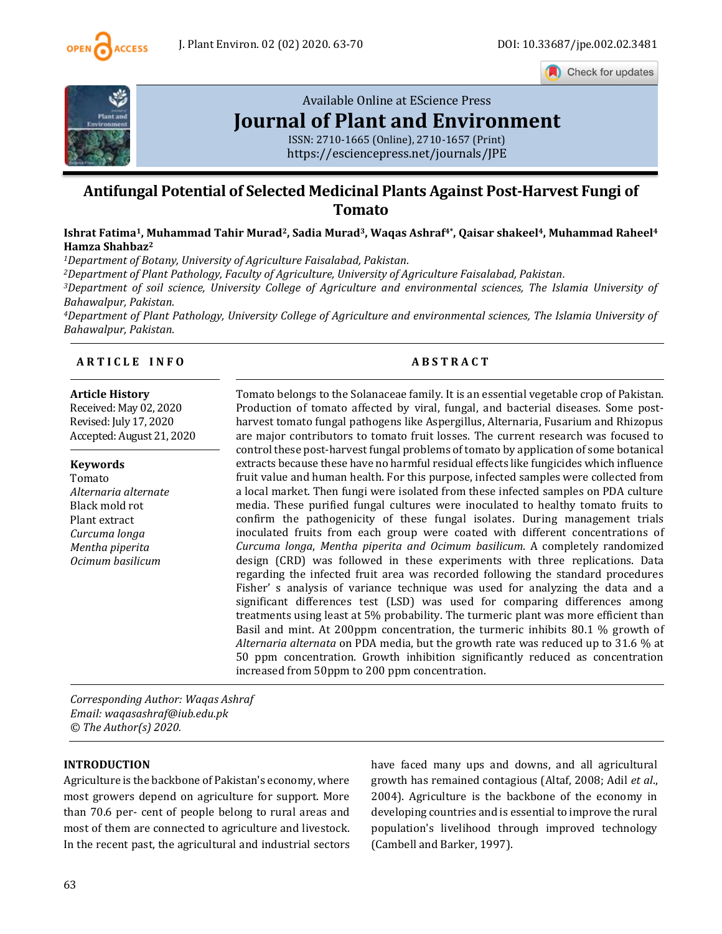

Check for updates



# [Available Online at EScience Press](https://esciencepress.net/journals/JPE) **[Journal of Plant and Environment](https://esciencepress.net/journals/JPE)**

ISSN: 2710-1665 (Online), 2710-1657 (Print) <https://esciencepress.net/journals/JPE>

# **Antifungal Potential of Selected Medicinal Plants Against Post-Harvest Fungi of Tomato**

**Ishrat Fatima1, Muhammad Tahir Murad2, Sadia Murad3, Waqas Ashraf4\* , Qaisar shakeel4, Muhammad Raheel<sup>4</sup> Hamza Shahbaz<sup>2</sup>**

*<sup>1</sup>Department of Botany, University of Agriculture Faisalabad, Pakistan.*

*<sup>2</sup>Department of Plant Pathology, Faculty of Agriculture, University of Agriculture Faisalabad, Pakistan.*

*<sup>3</sup>Department of soil science, University College of Agriculture and environmental sciences, The Islamia University of Bahawalpur, Pakistan.*

*<sup>4</sup>Department of Plant Pathology, University College of Agriculture and environmental sciences, The Islamia University of Bahawalpur, Pakistan.*

#### **A R T I C L E I N F O A B S T R A C T**

#### **Article History**

Received: May 02, 2020 Revised: July 17, 2020 Accepted: August 21, 2020

#### **Keywords**

Tomato *Alternaria alternate* Black mold rot Plant extract *Curcuma longa Mentha piperita Ocimum basilicum*

Tomato belongs to the Solanaceae family. It is an essential vegetable crop of Pakistan. Production of tomato affected by viral, fungal, and bacterial diseases. Some postharvest tomato fungal pathogens like Aspergillus, Alternaria, Fusarium and Rhizopus are major contributors to tomato fruit losses. The current research was focused to control these post-harvest fungal problems of tomato by application of some botanical extracts because these have no harmful residual effects like fungicides which influence fruit value and human health. For this purpose, infected samples were collected from a local market. Then fungi were isolated from these infected samples on PDA culture media. These purified fungal cultures were inoculated to healthy tomato fruits to confirm the pathogenicity of these fungal isolates. During management trials inoculated fruits from each group were coated with different concentrations of *Curcuma longa*, *Mentha piperita and Ocimum basilicum*. A completely randomized design (CRD) was followed in these experiments with three replications. Data regarding the infected fruit area was recorded following the standard procedures Fisher' s analysis of variance technique was used for analyzing the data and a significant differences test (LSD) was used for comparing differences among treatments using least at 5% probability. The turmeric plant was more efficient than Basil and mint. At 200ppm concentration, the turmeric inhibits 80.1 % growth of *Alternaria alternata* on PDA media, but the growth rate was reduced up to 31.6 % at 50 ppm concentration. Growth inhibition significantly reduced as concentration increased from 50ppm to 200 ppm concentration.

*Corresponding Author: Waqas Ashraf Email: waqasashraf@iub.edu.pk © The Author(s) 2020.*

#### **INTRODUCTION**

Agriculture is the backbone of Pakistan's economy, where most growers depend on agriculture for support. More than 70.6 per- cent of people belong to rural areas and most of them are connected to agriculture and livestock. In the recent past, the agricultural and industrial sectors have faced many ups and downs, and all agricultural growth has remained contagious (Altaf, 2008; Adil *et al*., 2004). Agriculture is the backbone of the economy in developing countries and is essential to improve the rural population's livelihood through improved technology (Cambell and Barker, 1997).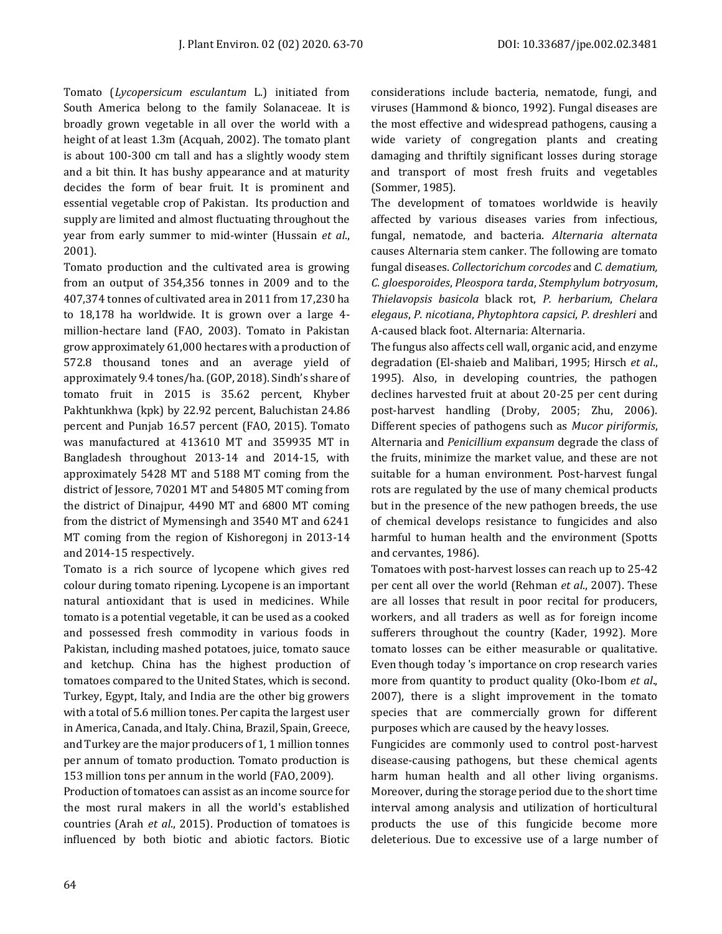Tomato (*Lycopersicum esculantum* L.) initiated from South America belong to the family Solanaceae. It is broadly grown vegetable in all over the world with a height of at least 1.3m (Acquah, 2002). The tomato plant is about 100-300 cm tall and has a slightly woody stem and a bit thin. It has bushy appearance and at maturity decides the form of bear fruit. It is prominent and essential vegetable crop of Pakistan. Its production and supply are limited and almost fluctuating throughout the year from early summer to mid-winter (Hussain *et al*., 2001).

Tomato production and the cultivated area is growing from an output of 354,356 tonnes in 2009 and to the 407,374 tonnes of cultivated area in 2011 from 17,230 ha to 18,178 ha worldwide. It is grown over a large 4 million-hectare land (FAO, 2003). Tomato in Pakistan grow approximately 61,000 hectares with a production of 572.8 thousand tones and an average yield of approximately 9.4 tones/ha. (GOP, 2018). Sindh's share of tomato fruit in 2015 is 35.62 percent, Khyber Pakhtunkhwa (kpk) by 22.92 percent, Baluchistan 24.86 percent and Punjab 16.57 percent (FAO, 2015). Tomato was manufactured at 413610 MT and 359935 MT in Bangladesh throughout 2013-14 and 2014-15, with approximately 5428 MT and 5188 MT coming from the district of Jessore, 70201 MT and 54805 MT coming from the district of Dinajpur, 4490 MT and 6800 MT coming from the district of Mymensingh and 3540 MT and 6241 MT coming from the region of Kishoregonj in 2013-14 and 2014-15 respectively.

Tomato is a rich source of lycopene which gives red colour during tomato ripening. Lycopene is an important natural antioxidant that is used in medicines. While tomato is a potential vegetable, it can be used as a cooked and possessed fresh commodity in various foods in Pakistan, including mashed potatoes, juice, tomato sauce and ketchup. China has the highest production of tomatoes compared to the United States, which is second. Turkey, Egypt, Italy, and India are the other big growers with a total of 5.6 million tones. Per capita the largest user in America, Canada, and Italy. China, Brazil, Spain, Greece, and Turkey are the major producers of 1, 1 million tonnes per annum of tomato production. Tomato production is 153 million tons per annum in the world (FAO, 2009).

Production of tomatoes can assist as an income source for the most rural makers in all the world's established countries (Arah *et al*., 2015). Production of tomatoes is influenced by both biotic and abiotic factors. Biotic considerations include bacteria, nematode, fungi, and viruses (Hammond & bionco, 1992). Fungal diseases are the most effective and widespread pathogens, causing a wide variety of congregation plants and creating damaging and thriftily significant losses during storage and transport of most fresh fruits and vegetables (Sommer, 1985).

The development of tomatoes worldwide is heavily affected by various diseases varies from infectious, fungal, nematode, and bacteria. *Alternaria alternata* causes Alternaria stem canker. The following are tomato fungal diseases. *Collectorichum corcodes* and *C. dematium, C. gloesporoides*, *Pleospora tarda*, *Stemphylum botryosum*, *Thielavopsis basicola* black rot, *P. herbarium*, *Chelara elegaus*, *P. nicotiana*, *Phytophtora capsici*, *P. dreshleri* and A-caused black foot. Alternaria: Alternaria.

The fungus also affects cell wall, organic acid, and enzyme degradation (El-shaieb and Malibari, 1995; Hirsch *et al*., 1995). Also, in developing countries, the pathogen declines harvested fruit at about 20-25 per cent during post-harvest handling (Droby, 2005; Zhu, 2006). Different species of pathogens such as *Mucor piriformis*, Alternaria and *Penicillium expansum* degrade the class of the fruits, minimize the market value, and these are not suitable for a human environment. Post-harvest fungal rots are regulated by the use of many chemical products but in the presence of the new pathogen breeds, the use of chemical develops resistance to fungicides and also harmful to human health and the environment (Spotts and cervantes, 1986).

Tomatoes with post-harvest losses can reach up to 25-42 per cent all over the world (Rehman *et al*., 2007). These are all losses that result in poor recital for producers, workers, and all traders as well as for foreign income sufferers throughout the country (Kader, 1992). More tomato losses can be either measurable or qualitative. Even though today 's importance on crop research varies more from quantity to product quality (Oko-Ibom *et al*., 2007), there is a slight improvement in the tomato species that are commercially grown for different purposes which are caused by the heavy losses.

Fungicides are commonly used to control post-harvest disease-causing pathogens, but these chemical agents harm human health and all other living organisms. Moreover, during the storage period due to the short time interval among analysis and utilization of horticultural products the use of this fungicide become more deleterious. Due to excessive use of a large number of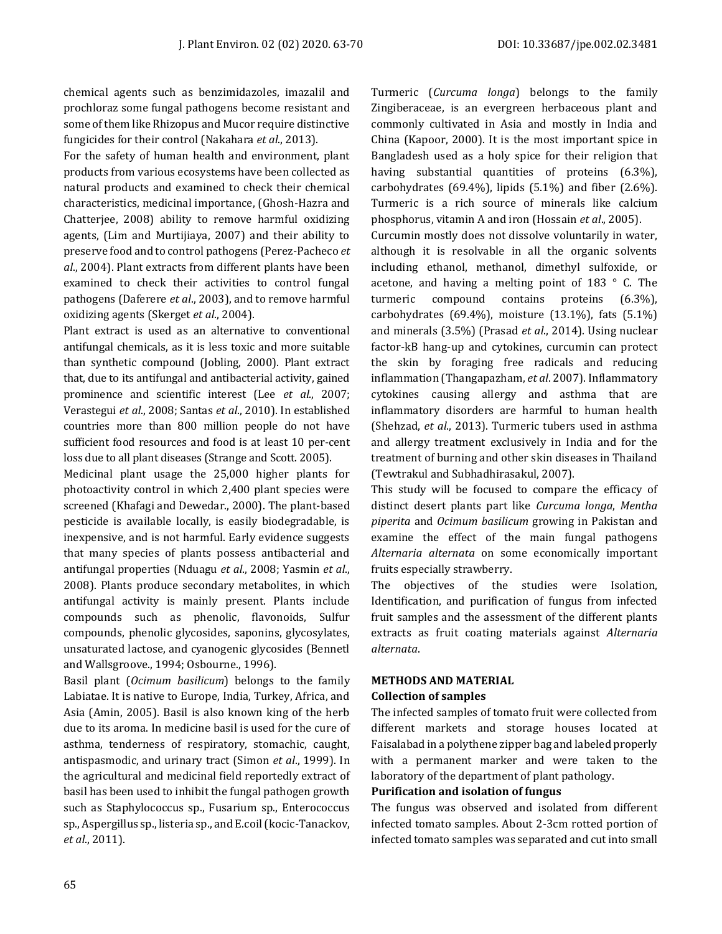chemical agents such as benzimidazoles, imazalil and prochloraz some fungal pathogens become resistant and some of them like Rhizopus and Mucor require distinctive fungicides for their control (Nakahara *et al*., 2013).

For the safety of human health and environment, plant products from various ecosystems have been collected as natural products and examined to check their chemical characteristics, medicinal importance, (Ghosh-Hazra and Chatterjee, 2008) ability to remove harmful oxidizing agents, (Lim and Murtijiaya, 2007) and their ability to preserve food and to control pathogens (Perez-Pacheco *et al*., 2004). Plant extracts from different plants have been examined to check their activities to control fungal pathogens (Daferere *et al*., 2003), and to remove harmful oxidizing agents (Skerget *et al*., 2004).

Plant extract is used as an alternative to conventional antifungal chemicals, as it is less toxic and more suitable than synthetic compound (Jobling, 2000). Plant extract that, due to its antifungal and antibacterial activity, gained prominence and scientific interest (Lee *et al*., 2007; Verastegui *et al*., 2008; Santas *et al*., 2010). In established countries more than 800 million people do not have sufficient food resources and food is at least 10 per-cent loss due to all plant diseases (Strange and Scott. 2005).

Medicinal plant usage the 25,000 higher plants for photoactivity control in which 2,400 plant species were screened (Khafagi and Dewedar., 2000). The plant-based pesticide is available locally, is easily biodegradable, is inexpensive, and is not harmful. Early evidence suggests that many species of plants possess antibacterial and antifungal properties (Nduagu *et al*., 2008; Yasmin *et al*., 2008). Plants produce secondary metabolites, in which antifungal activity is mainly present. Plants include compounds such as phenolic, flavonoids, Sulfur compounds, phenolic glycosides, saponins, glycosylates, unsaturated lactose, and cyanogenic glycosides (Bennetl and Wallsgroove., 1994; Osbourne., 1996).

Basil plant (*Ocimum basilicum*) belongs to the family Labiatae. It is native to Europe, India, Turkey, Africa, and Asia (Amin, 2005). Basil is also known king of the herb due to its aroma. In medicine basil is used for the cure of asthma, tenderness of respiratory, stomachic, caught, antispasmodic, and urinary tract (Simon *et al*., 1999). In the agricultural and medicinal field reportedly extract of basil has been used to inhibit the fungal pathogen growth such as Staphylococcus sp., Fusarium sp., Enterococcus sp., Aspergillus sp., listeria sp., and E.coil (kocic-Tanackov, *et al*., 2011).

Turmeric (*Curcuma longa*) belongs to the family Zingiberaceae, is an evergreen herbaceous plant and commonly cultivated in Asia and mostly in India and China (Kapoor, 2000). It is the most important spice in Bangladesh used as a holy spice for their religion that having substantial quantities of proteins (6.3%), carbohydrates (69.4%), lipids (5.1%) and fiber (2.6%). Turmeric is a rich source of minerals like calcium phosphorus, vitamin A and iron (Hossain *et al*., 2005).

Curcumin mostly does not dissolve voluntarily in water, although it is resolvable in all the organic solvents including ethanol, methanol, dimethyl sulfoxide, or acetone, and having a melting point of 183 ° C. The turmeric compound contains proteins (6.3%), carbohydrates (69.4%), moisture (13.1%), fats (5.1%) and minerals (3.5%) (Prasad *et al*., 2014). Using nuclear factor-kB hang-up and cytokines, curcumin can protect the skin by foraging free radicals and reducing inflammation (Thangapazham, *et al*. 2007). Inflammatory cytokines causing allergy and asthma that are inflammatory disorders are harmful to human health (Shehzad, *et al*., 2013). Turmeric tubers used in asthma and allergy treatment exclusively in India and for the treatment of burning and other skin diseases in Thailand (Tewtrakul and Subhadhirasakul, 2007).

This study will be focused to compare the efficacy of distinct desert plants part like *Curcuma longa*, *Mentha piperita* and *Ocimum basilicum* growing in Pakistan and examine the effect of the main fungal pathogens *Alternaria alternata* on some economically important fruits especially strawberry.

The objectives of the studies were Isolation, Identification, and purification of fungus from infected fruit samples and the assessment of the different plants extracts as fruit coating materials against *Alternaria alternata*.

# **METHODS AND MATERIAL**

#### **Collection of samples**

The infected samples of tomato fruit were collected from different markets and storage houses located at Faisalabad in a polythene zipper bag and labeled properly with a permanent marker and were taken to the laboratory of the department of plant pathology.

# **Purification and isolation of fungus**

The fungus was observed and isolated from different infected tomato samples. About 2-3cm rotted portion of infected tomato samples was separated and cut into small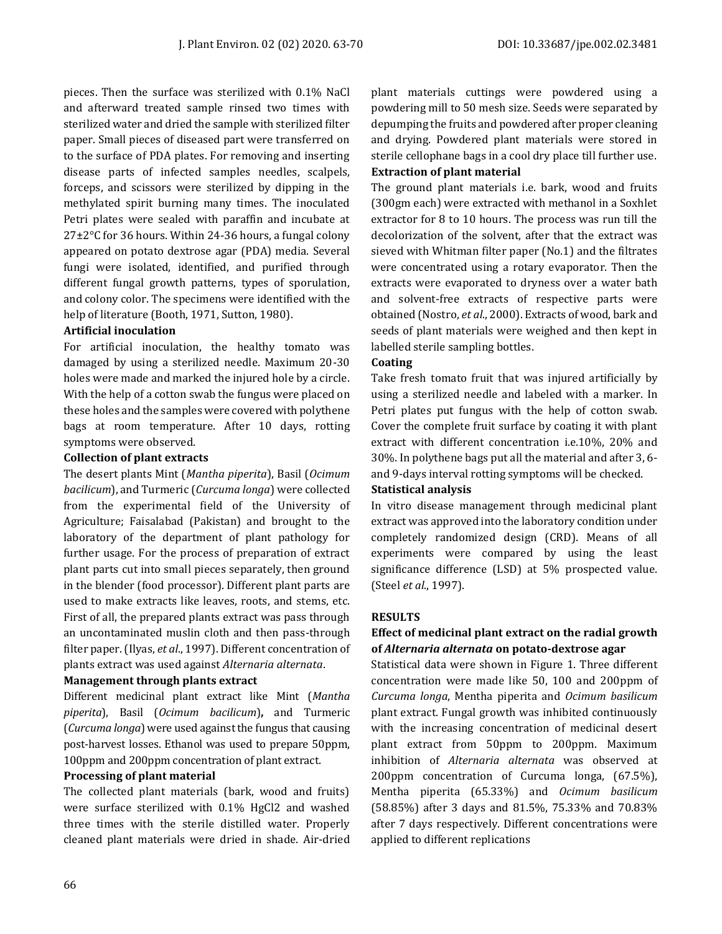pieces. Then the surface was sterilized with 0.1% NaCl and afterward treated sample rinsed two times with sterilized water and dried the sample with sterilized filter paper. Small pieces of diseased part were transferred on to the surface of PDA plates. For removing and inserting disease parts of infected samples needles, scalpels, forceps, and scissors were sterilized by dipping in the methylated spirit burning many times. The inoculated Petri plates were sealed with paraffin and incubate at 27±2°C for 36 hours. Within 24-36 hours, a fungal colony appeared on potato dextrose agar (PDA) media. Several fungi were isolated, identified, and purified through different fungal growth patterns, types of sporulation, and colony color. The specimens were identified with the help of literature (Booth, 1971, Sutton, 1980).

### **Artificial inoculation**

For artificial inoculation, the healthy tomato was damaged by using a sterilized needle. Maximum 20-30 holes were made and marked the injured hole by a circle. With the help of a cotton swab the fungus were placed on these holes and the samples were covered with polythene bags at room temperature. After 10 days, rotting symptoms were observed.

### **Collection of plant extracts**

The desert plants Mint (*Mantha piperita*), Basil (*Ocimum bacilicum*), and Turmeric (*Curcuma longa*) were collected from the experimental field of the University of Agriculture; Faisalabad (Pakistan) and brought to the laboratory of the department of plant pathology for further usage. For the process of preparation of extract plant parts cut into small pieces separately, then ground in the blender (food processor). Different plant parts are used to make extracts like leaves, roots, and stems, etc. First of all, the prepared plants extract was pass through an uncontaminated muslin cloth and then pass-through filter paper. (Ilyas, *et al*., 1997). Different concentration of plants extract was used against *Alternaria alternata*.

### **Management through plants extract**

Different medicinal plant extract like Mint (*Mantha piperita*), Basil (*Ocimum bacilicum*)**,** and Turmeric (*Curcuma longa*) were used against the fungus that causing post-harvest losses. Ethanol was used to prepare 50ppm, 100ppm and 200ppm concentration of plant extract.

#### **Processing of plant material**

The collected plant materials (bark, wood and fruits) were surface sterilized with 0.1% HgCl2 and washed three times with the sterile distilled water. Properly cleaned plant materials were dried in shade. Air-dried plant materials cuttings were powdered using a powdering mill to 50 mesh size. Seeds were separated by depumping the fruits and powdered after proper cleaning and drying. Powdered plant materials were stored in sterile cellophane bags in a cool dry place till further use. **Extraction of plant material**

# The ground plant materials i.e. bark, wood and fruits (300gm each) were extracted with methanol in a Soxhlet extractor for 8 to 10 hours. The process was run till the decolorization of the solvent, after that the extract was sieved with Whitman filter paper (No.1) and the filtrates were concentrated using a rotary evaporator. Then the extracts were evaporated to dryness over a water bath and solvent-free extracts of respective parts were obtained (Nostro, *et al*., 2000). Extracts of wood, bark and seeds of plant materials were weighed and then kept in labelled sterile sampling bottles.

### **Coating**

Take fresh tomato fruit that was injured artificially by using a sterilized needle and labeled with a marker. In Petri plates put fungus with the help of cotton swab. Cover the complete fruit surface by coating it with plant extract with different concentration i.e.10%, 20% and 30%. In polythene bags put all the material and after 3, 6 and 9-days interval rotting symptoms will be checked.

#### **Statistical analysis**

In vitro disease management through medicinal plant extract was approved into the laboratory condition under completely randomized design (CRD). Means of all experiments were compared by using the least significance difference (LSD) at 5% prospected value. (Steel *et al*., 1997).

# **RESULTS**

# **Effect of medicinal plant extract on the radial growth of** *Alternaria alternata* **on potato-dextrose agar**

Statistical data were shown in Figure 1. Three different concentration were made like 50, 100 and 200ppm of *Curcuma longa*, Mentha piperita and *Ocimum basilicum* plant extract. Fungal growth was inhibited continuously with the increasing concentration of medicinal desert plant extract from 50ppm to 200ppm. Maximum inhibition of *Alternaria alternata* was observed at 200ppm concentration of Curcuma longa, (67.5%), Mentha piperita (65.33%) and *Ocimum basilicum* (58.85%) after 3 days and 81.5%, 75.33% and 70.83% after 7 days respectively. Different concentrations were applied to different replications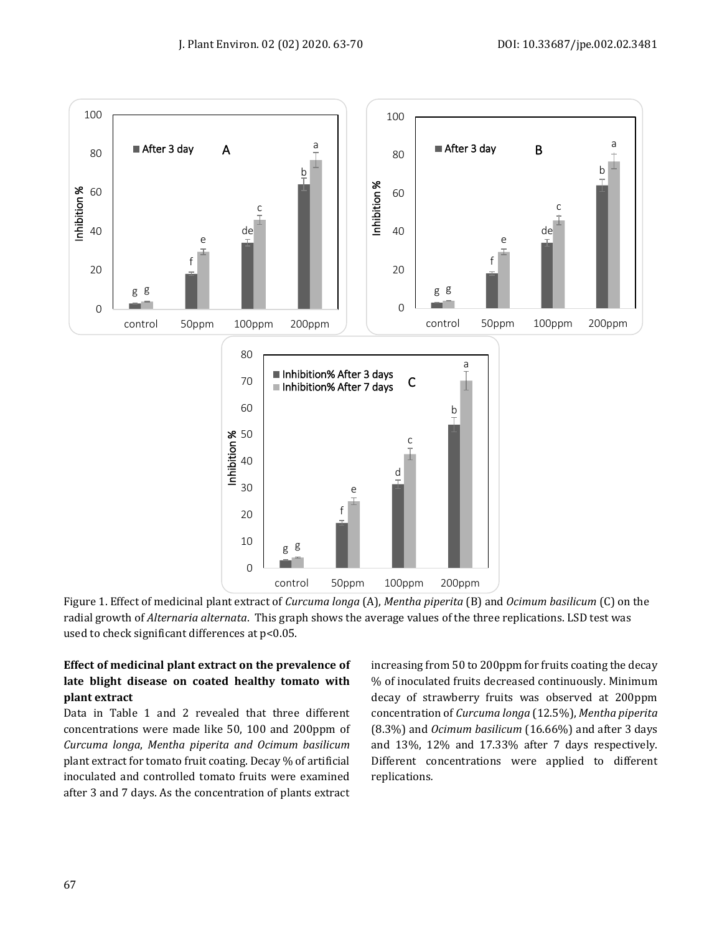



# **Effect of medicinal plant extract on the prevalence of late blight disease on coated healthy tomato with plant extract**

Data in Table 1 and 2 revealed that three different concentrations were made like 50, 100 and 200ppm of *Curcuma longa*, *Mentha piperita and Ocimum basilicum*  plant extract for tomato fruit coating. Decay % of artificial inoculated and controlled tomato fruits were examined after 3 and 7 days. As the concentration of plants extract

increasing from 50 to 200ppm for fruits coating the decay % of inoculated fruits decreased continuously. Minimum decay of strawberry fruits was observed at 200ppm concentration of *Curcuma longa* (12.5%), *Mentha piperita* (8.3%) and *Ocimum basilicum* (16.66%) and after 3 days and 13%, 12% and 17.33% after 7 days respectively. Different concentrations were applied to different replications*.*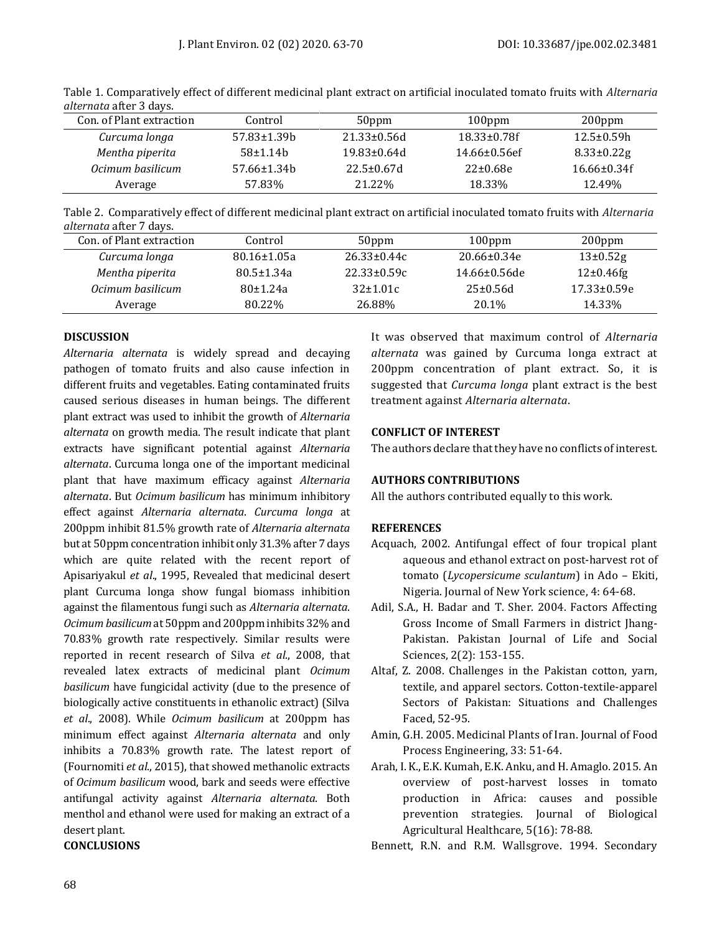| Control              | 50 <sub>ppm</sub>  | $100$ ppm           | $200$ ppm         |
|----------------------|--------------------|---------------------|-------------------|
| $57.83 \pm 1.39$     | $21.33 \pm 0.56$ d | $18.33 \pm 0.78f$   | $12.5 \pm 0.59h$  |
| 58±1.14 <sub>b</sub> | $19.83 \pm 0.64$ d | $14.66 \pm 0.56$ ef | $8.33 \pm 0.22$ g |
| $57.66 \pm 1.34$     | $22.5 \pm 0.67$ d  | $22 \pm 0.68e$      | $16.66 \pm 0.34f$ |
| 57.83%               | 21.22%             | 18.33%              | 12.49%            |
|                      |                    |                     |                   |

Table 1. Comparatively effect of different medicinal plant extract on artificial inoculated tomato fruits with *Alternaria alternata* after 3 days.

Table 2. Comparatively effect of different medicinal plant extract on artificial inoculated tomato fruits with *Alternaria alternata* after 7 days.

| Con. of Plant extraction | Control           | 50ppm             | $100$ ppm           | $200$ ppm         |
|--------------------------|-------------------|-------------------|---------------------|-------------------|
| Curcuma longa            | $80.16 \pm 1.05a$ | $26.33 \pm 0.44c$ | $20.66 \pm 0.34e$   | $13\pm0.52g$      |
| Mentha piperita          | $80.5 \pm 1.34a$  | $22.33 \pm 0.59c$ | $14.66 \pm 0.56$ de | $12\pm0.46$ fg    |
| Ocimum basilicum         | 80±1.24a          | $32 \pm 1.01c$    | 25±0.56d            | $17.33 \pm 0.59e$ |
| Average                  | 80.22%            | 26.88%            | 20.1%               | 14.33%            |

### **DISCUSSION**

*Alternaria alternata* is widely spread and decaying pathogen of tomato fruits and also cause infection in different fruits and vegetables. Eating contaminated fruits caused serious diseases in human beings. The different plant extract was used to inhibit the growth of *Alternaria alternata* on growth media. The result indicate that plant extracts have significant potential against *Alternaria alternata*. Curcuma longa one of the important medicinal plant that have maximum efficacy against *Alternaria alternata*. But *Ocimum basilicum* has minimum inhibitory effect against *Alternaria alternata*. *Curcuma longa* at 200ppm inhibit 81.5% growth rate of *Alternaria alternata* but at 50ppm concentration inhibit only 31.3% after 7 days which are quite related with the recent report of Apisariyakul *et al*., 1995, Revealed that medicinal desert plant Curcuma longa show fungal biomass inhibition against the filamentous fungi such as *Alternaria alternata*. *Ocimum basilicum*at 50ppm and 200ppm inhibits 32% and 70.83% growth rate respectively. Similar results were reported in recent research of Silva *et al*., 2008, that revealed latex extracts of medicinal plant *Ocimum basilicum* have fungicidal activity (due to the presence of biologically active constituents in ethanolic extract) (Silva *et al*., 2008). While *Ocimum basilicum* at 200ppm has minimum effect against *Alternaria alternata* and only inhibits a 70.83% growth rate. The latest report of (Fournomiti *et al*., 2015), that showed methanolic extracts of *Ocimum basilicum* wood, bark and seeds were effective antifungal activity against *Alternaria alternata*. Both menthol and ethanol were used for making an extract of a desert plant.

# **CONCLUSIONS**

It was observed that maximum control of *Alternaria alternata* was gained by Curcuma longa extract at 200ppm concentration of plant extract. So, it is suggested that *Curcuma longa* plant extract is the best treatment against *Alternaria alternata*.

### **CONFLICT OF INTEREST**

The authors declare that they have no conflicts of interest.

# **AUTHORS CONTRIBUTIONS**

All the authors contributed equally to this work.

# **REFERENCES**

- Acquach, 2002. Antifungal effect of four tropical plant aqueous and ethanol extract on post-harvest rot of tomato (*Lycopersicume sculantum*) in Ado – Ekiti, Nigeria. Journal of New York science, 4: 64-68.
- Adil, S.A., H. Badar and T. Sher. 2004. Factors Affecting Gross Income of Small Farmers in district Jhang-Pakistan. Pakistan Journal of Life and Social Sciences, 2(2): 153-155.
- Altaf, Z. 2008. Challenges in the Pakistan cotton, yarn, textile, and apparel sectors. Cotton-textile-apparel Sectors of Pakistan: Situations and Challenges Faced, 52-95.
- Amin, G.H. 2005. Medicinal Plants of Iran. Journal of Food Process Engineering, 33: 51-64.
- Arah, I. K., E.K. Kumah, E.K. Anku, and H. Amaglo. 2015. An overview of post-harvest losses in tomato production in Africa: causes and possible prevention strategies. Journal of Biological Agricultural Healthcare, 5(16): 78-88.

Bennett, R.N. and R.M. Wallsgrove. 1994. Secondary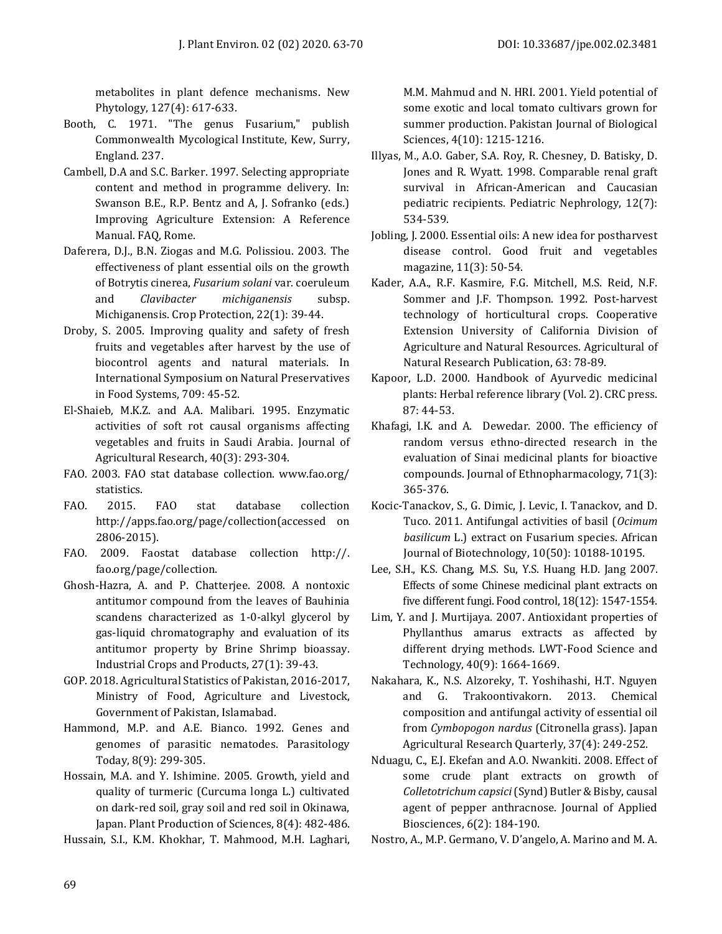metabolites in plant defence mechanisms. New Phytology, 127(4): 617-633.

- Booth, C. 1971. "The genus Fusarium," publish Commonwealth Mycological Institute, Kew, Surry, England. 237.
- Cambell, D.A and S.C. Barker. 1997. Selecting appropriate content and method in programme delivery. In: Swanson B.E., R.P. Bentz and A, J. Sofranko (eds.) Improving Agriculture Extension: A Reference Manual. FAQ, Rome.
- Daferera, D.J., B.N. Ziogas and M.G. Polissiou. 2003. The effectiveness of plant essential oils on the growth of Botrytis cinerea, *Fusarium solani* var. coeruleum and *Clavibacter michiganensis* subsp. Michiganensis. Crop Protection, 22(1): 39-44.
- Droby, S. 2005. Improving quality and safety of fresh fruits and vegetables after harvest by the use of biocontrol agents and natural materials. In International Symposium on Natural Preservatives in Food Systems, 709: 45-52.
- El-Shaieb, M.K.Z. and A.A. Malibari. 1995. Enzymatic activities of soft rot causal organisms affecting vegetables and fruits in Saudi Arabia. Journal of Agricultural Research, 40(3): 293-304.
- FAO. 2003. FAO stat database collection. www.fao.org/ statistics.
- FAO. 2015. FAO stat database collection http://apps.fao.org/page/collection(accessed on 2806-2015).
- FAO. 2009. Faostat database collection http://. fao.org/page/collection.
- Ghosh-Hazra, A. and P. Chatterjee. 2008. A nontoxic antitumor compound from the leaves of Bauhinia scandens characterized as 1-0-alkyl glycerol by gas-liquid chromatography and evaluation of its antitumor property by Brine Shrimp bioassay. Industrial Crops and Products, 27(1): 39-43.
- GOP. 2018. Agricultural Statistics of Pakistan, 2016-2017, Ministry of Food, Agriculture and Livestock, Government of Pakistan, Islamabad.
- Hammond, M.P. and A.E. Bianco. 1992. Genes and genomes of parasitic nematodes. Parasitology Today, 8(9): 299-305.
- Hossain, M.A. and Y. Ishimine. 2005. Growth, yield and quality of turmeric (Curcuma longa L.) cultivated on dark-red soil, gray soil and red soil in Okinawa, Japan. Plant Production of Sciences, 8(4): 482-486.

Hussain, S.I., K.M. Khokhar, T. Mahmood, M.H. Laghari,

M.M. Mahmud and N. HRI. 2001. Yield potential of some exotic and local tomato cultivars grown for summer production. Pakistan Journal of Biological

Illyas, M., A.O. Gaber, S.A. Roy, R. Chesney, D. Batisky, D. Jones and R. Wyatt. 1998. Comparable renal graft survival in African-American and Caucasian pediatric recipients. Pediatric Nephrology, 12(7): 534-539.

Sciences, 4(10): 1215-1216.

- Jobling, J. 2000. Essential oils: A new idea for postharvest disease control. Good fruit and vegetables magazine, 11(3): 50-54.
- Kader, A.A., R.F. Kasmire, F.G. Mitchell, M.S. Reid, N.F. Sommer and J.F. Thompson. 1992. Post-harvest technology of horticultural crops. Cooperative Extension University of California Division of Agriculture and Natural Resources. Agricultural of Natural Research Publication, 63: 78-89.
- Kapoor, L.D. 2000. Handbook of Ayurvedic medicinal plants: Herbal reference library (Vol. 2). CRC press. 87: 44-53.
- Khafagi, I.K. and A. Dewedar. 2000. The efficiency of random versus ethno-directed research in the evaluation of Sinai medicinal plants for bioactive compounds. Journal of Ethnopharmacology, 71(3): 365-376.
- Kocic-Tanackov, S., G. Dimic, J. Levic, I. Tanackov, and D. Tuco. 2011. Antifungal activities of basil (*Ocimum basilicum* L.) extract on Fusarium species. African Journal of Biotechnology, 10(50): 10188-10195.
- Lee, S.H., K.S. Chang, M.S. Su, Y.S. Huang H.D. Jang 2007. Effects of some Chinese medicinal plant extracts on five different fungi. Food control, 18(12): 1547-1554.
- Lim, Y. and J. Murtijaya. 2007. Antioxidant properties of Phyllanthus amarus extracts as affected by different drying methods. LWT-Food Science and Technology, 40(9): 1664-1669.
- Nakahara, K., N.S. Alzoreky, T. Yoshihashi, H.T. Nguyen and G. Trakoontivakorn. 2013. Chemical composition and antifungal activity of essential oil from *Cymbopogon nardus* (Citronella grass). Japan Agricultural Research Quarterly, 37(4): 249-252.
- Nduagu, C., E.J. Ekefan and A.O. Nwankiti. 2008. Effect of some crude plant extracts on growth of *Colletotrichum capsici*(Synd) Butler & Bisby, causal agent of pepper anthracnose. Journal of Applied Biosciences, 6(2): 184-190.

Nostro, A., M.P. Germano, V. D'angelo, A. Marino and M. A.